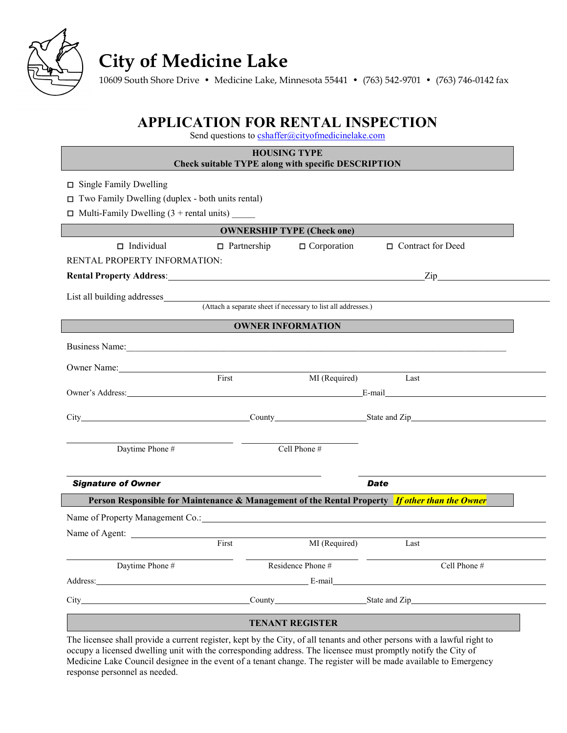

# **City of Medicine Lake**

10609 South Shore Drive • Medicine Lake, Minnesota 55441 • (763) 542-9701 • (763) 746-0142 fax

### **APPLICATION FOR RENTAL INSPECTION**

Send questions to **cshaffer@cityofmedicinelake.com** 

| <b>HOUSING TYPE</b><br><b>Check suitable TYPE along with specific DESCRIPTION</b>                                                                                                                                              |                                                               |                        |                     |                |  |  |  |
|--------------------------------------------------------------------------------------------------------------------------------------------------------------------------------------------------------------------------------|---------------------------------------------------------------|------------------------|---------------------|----------------|--|--|--|
| $\Box$ Single Family Dwelling                                                                                                                                                                                                  |                                                               |                        |                     |                |  |  |  |
| $\Box$ Two Family Dwelling (duplex - both units rental)                                                                                                                                                                        |                                                               |                        |                     |                |  |  |  |
| $\Box$ Multi-Family Dwelling (3 + rental units)                                                                                                                                                                                |                                                               |                        |                     |                |  |  |  |
| <b>OWNERSHIP TYPE (Check one)</b>                                                                                                                                                                                              |                                                               |                        |                     |                |  |  |  |
| $\Box$ Individual                                                                                                                                                                                                              | $\Box$ Partnership                                            | $\Box$ Corporation     | □ Contract for Deed |                |  |  |  |
| RENTAL PROPERTY INFORMATION:                                                                                                                                                                                                   |                                                               |                        |                     |                |  |  |  |
| <b>Rental Property Address:</b> No. 2014 12:20:20 No. 2014 12:20:20 No. 2014 12:20:20 No. 2014 12:20:20 No. 2014 12:20:20                                                                                                      |                                                               |                        |                     | $\mathsf{Zip}$ |  |  |  |
| List all building addresses                                                                                                                                                                                                    |                                                               |                        |                     |                |  |  |  |
|                                                                                                                                                                                                                                | (Attach a separate sheet if necessary to list all addresses.) |                        |                     |                |  |  |  |
|                                                                                                                                                                                                                                | <b>OWNER INFORMATION</b>                                      |                        |                     |                |  |  |  |
|                                                                                                                                                                                                                                |                                                               |                        |                     |                |  |  |  |
|                                                                                                                                                                                                                                |                                                               |                        |                     |                |  |  |  |
| Owner Name: 1988 and 1988 and 1988 and 1988 and 1988 and 1988 and 1988 and 1988 and 1988 and 1988 and 1988 and 1988 and 1988 and 1988 and 1988 and 1988 and 1988 and 1988 and 1988 and 1988 and 1988 and 1988 and 1988 and 198 | First                                                         | MI (Required)          |                     |                |  |  |  |
| Owner's Address: E-mail E-mail E-mail E-mail E-mail E-mail E-mail E-mail E-mail E-mail E-mail E-mail E-mail E-mail E-mail E-mail E-mail E-mail E-mail E-mail E-mail E-mail E-mail E-mail E-mail E-mail E-mail E-mail E-mail E- |                                                               |                        | Last                |                |  |  |  |
|                                                                                                                                                                                                                                |                                                               |                        |                     |                |  |  |  |
|                                                                                                                                                                                                                                | County County State and Zip                                   |                        |                     |                |  |  |  |
|                                                                                                                                                                                                                                |                                                               |                        |                     |                |  |  |  |
| Daytime Phone #                                                                                                                                                                                                                |                                                               | Cell Phone #           |                     |                |  |  |  |
|                                                                                                                                                                                                                                |                                                               |                        |                     |                |  |  |  |
| <b>Signature of Owner</b>                                                                                                                                                                                                      |                                                               |                        | Date                |                |  |  |  |
| Person Responsible for Maintenance & Management of the Rental Property If other than the Owner                                                                                                                                 |                                                               |                        |                     |                |  |  |  |
|                                                                                                                                                                                                                                |                                                               |                        |                     |                |  |  |  |
|                                                                                                                                                                                                                                |                                                               |                        |                     |                |  |  |  |
| Name of Agent:                                                                                                                                                                                                                 | First                                                         | MI (Required)          | Last                |                |  |  |  |
|                                                                                                                                                                                                                                |                                                               |                        |                     |                |  |  |  |
| Daytime Phone #                                                                                                                                                                                                                |                                                               | Residence Phone #      |                     | Cell Phone #   |  |  |  |
| Address: E-mail E-mail E-mail E-mail E-mail E-mail E-mail E-mail E-mail E-mail E-mail E-mail E-mail E-mail E-mail E-mail E-mail E-mail E-mail E-mail E-mail E-mail E-mail E-mail E-mail E-mail E-mail E-mail E-mail E-mail E-m |                                                               |                        |                     |                |  |  |  |
| City County County State and Zip                                                                                                                                                                                               |                                                               |                        |                     |                |  |  |  |
|                                                                                                                                                                                                                                |                                                               | <b>TENANT REGISTER</b> |                     |                |  |  |  |
| The licensee shall provide a current register, kept by the City, of all tenants and other persons with a lawful right to                                                                                                       |                                                               |                        |                     |                |  |  |  |

occupy a licensed dwelling unit with the corresponding address. The licensee must promptly notify the City of Medicine Lake Council designee in the event of a tenant change. The register will be made available to Emergency response personnel as needed.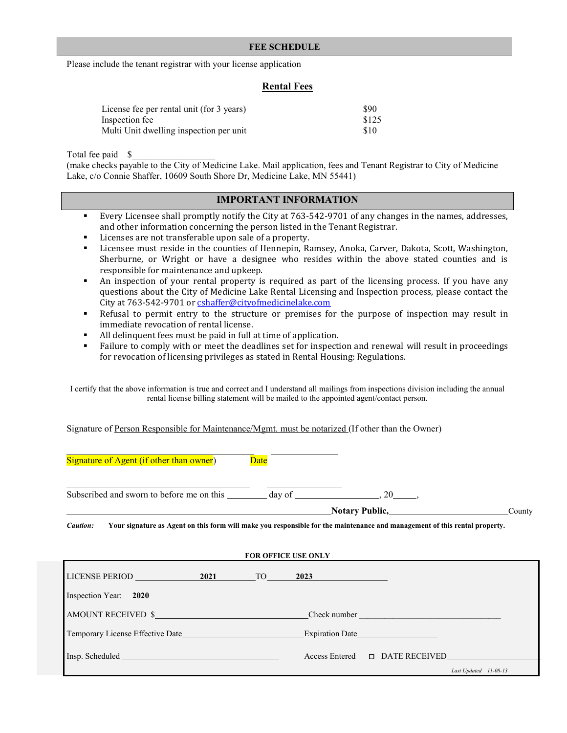#### **FEE SCHEDULE**

Please include the tenant registrar with your license application

#### **Rental Fees**

| License fee per rental unit (for 3 years) | \$90  |
|-------------------------------------------|-------|
| Inspection fee                            | \$125 |
| Multi Unit dwelling inspection per unit   | \$10  |

Total fee paid \$\_\_\_\_\_\_\_\_\_\_\_\_\_\_\_\_\_\_

(make checks payable to the City of Medicine Lake. Mail application, fees and Tenant Registrar to City of Medicine Lake, c/o Connie Shaffer, 10609 South Shore Dr, Medicine Lake, MN 55441)

### **IMPORTANT INFORMATION**

- Every Licensee shall promptly notify the City at 763-542-9701 of any changes in the names, addresses, and other information concerning the person listed in the Tenant Registrar.
- Licenses are not transferable upon sale of a property.
- Licensee must reside in the counties of Hennepin, Ramsey, Anoka, Carver, Dakota, Scott, Washington, Sherburne, or Wright or have a designee who resides within the above stated counties and is responsible for maintenance and upkeep.
- An inspection of your rental property is required as part of the licensing process. If you have any questions about the City of Medicine Lake Rental Licensing and Inspection process, please contact the City at 763-542-9701 o[r cshaffer@cityofmedicinelake.com](mailto:cshaffer@cityofmedicinelake.com)
- Refusal to permit entry to the structure or premises for the purpose of inspection may result in immediate revocation of rental license.
- All delinquent fees must be paid in full at time of application.
- Failure to comply with or meet the deadlines set for inspection and renewal will result in proceedings for revocation of licensing privileges as stated in Rental Housing: Regulations.

I certify that the above information is true and correct and I understand all mailings from inspections division including the annual rental license billing statement will be mailed to the appointed agent/contact person.

Signature of Person Responsible for Maintenance/Mgmt. must be notarized (If other than the Owner)

Signature of Agent (if other than owner) Date

Subscribed and sworn to before me on this day of , 20 ,  $\frac{1}{2}$ ,  $\frac{1}{2}$ 

**Notary Public,** County

*Caution:* **Your signature as Agent on this form will make you responsible for the maintenance and management of this rental property.**

| FOR OFFICE USE ONLY                     |  |  |                                              |  |  |
|-----------------------------------------|--|--|----------------------------------------------|--|--|
| LICENSE PERIOD 2021 TO                  |  |  | 2023                                         |  |  |
| Inspection Year: 2020                   |  |  |                                              |  |  |
| AMOUNT RECEIVED \$                      |  |  | Check number                                 |  |  |
| <b>Temporary License Effective Date</b> |  |  | Expiration Date                              |  |  |
|                                         |  |  | $Access \text{Entered}$ $\Box$ DATE RECEIVED |  |  |
|                                         |  |  | Last Updated 11-08-13                        |  |  |